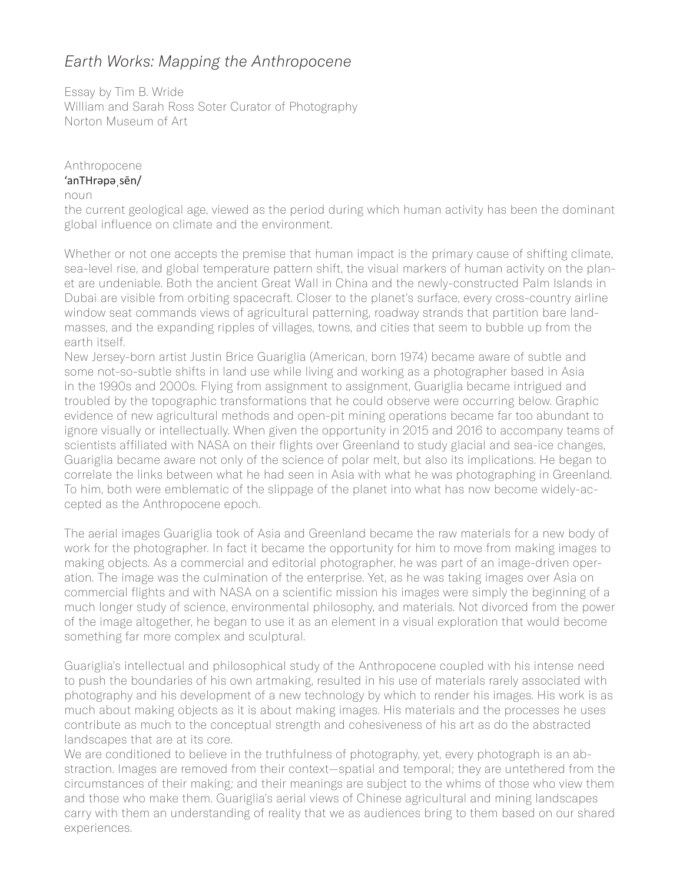## *Earth Works: Mapping the Anthropocene*

Essay by Tim B. Wride William and Sarah Ross Soter Curator of Photography Norton Museum of Art

## Anthropocene 'anTHrəpəˌsēn/

## noun

the current geological age, viewed as the period during which human activity has been the dominant global influence on climate and the environment.

Whether or not one accepts the premise that human impact is the primary cause of shifting climate, sea-level rise, and global temperature pattern shift, the visual markers of human activity on the planet are undeniable. Both the ancient Great Wall in China and the newly-constructed Palm Islands in Dubai are visible from orbiting spacecraft. Closer to the planet's surface, every cross-country airline window seat commands views of agricultural patterning, roadway strands that partition bare landmasses, and the expanding ripples of villages, towns, and cities that seem to bubble up from the earth itself.

New Jersey-born artist Justin Brice Guariglia (American, born 1974) became aware of subtle and some not-so-subtle shifts in land use while living and working as a photographer based in Asia in the 1990s and 2000s. Flying from assignment to assignment, Guariglia became intrigued and troubled by the topographic transformations that he could observe were occurring below. Graphic evidence of new agricultural methods and open-pit mining operations became far too abundant to ignore visually or intellectually. When given the opportunity in 2015 and 2016 to accompany teams of scientists affiliated with NASA on their flights over Greenland to study glacial and sea-ice changes, Guariglia became aware not only of the science of polar melt, but also its implications. He began to correlate the links between what he had seen in Asia with what he was photographing in Greenland. To him, both were emblematic of the slippage of the planet into what has now become widely-accepted as the Anthropocene epoch.

The aerial images Guariglia took of Asia and Greenland became the raw materials for a new body of work for the photographer. In fact it became the opportunity for him to move from making images to making objects. As a commercial and editorial photographer, he was part of an image-driven operation. The image was the culmination of the enterprise. Yet, as he was taking images over Asia on commercial flights and with NASA on a scientific mission his images were simply the beginning of a much longer study of science, environmental philosophy, and materials. Not divorced from the power of the image altogether, he began to use it as an element in a visual exploration that would become something far more complex and sculptural.

Guariglia's intellectual and philosophical study of the Anthropocene coupled with his intense need to push the boundaries of his own artmaking, resulted in his use of materials rarely associated with photography and his development of a new technology by which to render his images. His work is as much about making objects as it is about making images. His materials and the processes he uses contribute as much to the conceptual strength and cohesiveness of his art as do the abstracted landscapes that are at its core.

We are conditioned to believe in the truthfulness of photography, yet, every photograph is an abstraction. Images are removed from their context—spatial and temporal; they are untethered from the circumstances of their making; and their meanings are subject to the whims of those who view them and those who make them. Guariglia's aerial views of Chinese agricultural and mining landscapes carry with them an understanding of reality that we as audiences bring to them based on our shared experiences.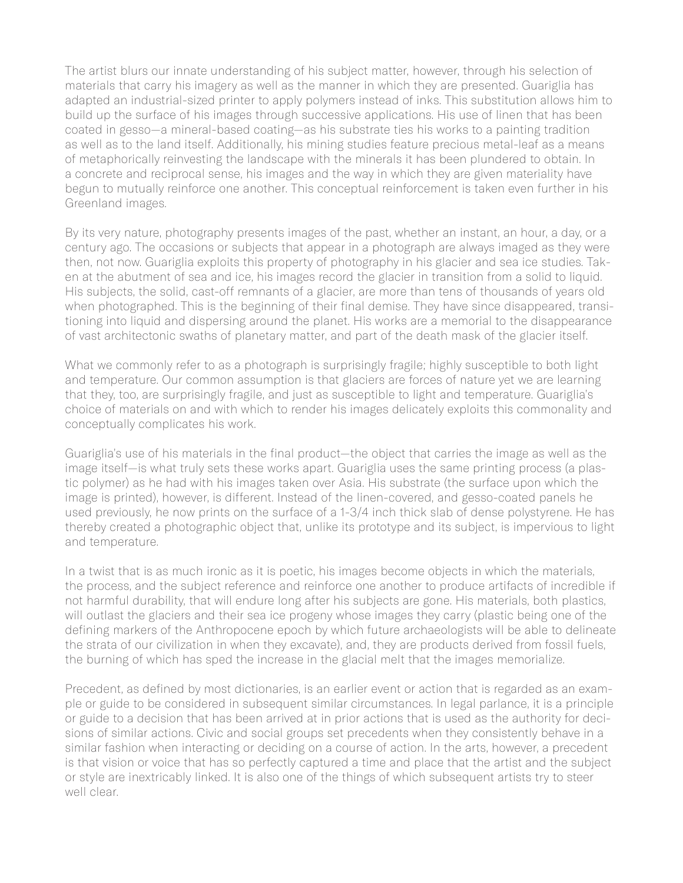The artist blurs our innate understanding of his subject matter, however, through his selection of materials that carry his imagery as well as the manner in which they are presented. Guariglia has adapted an industrial-sized printer to apply polymers instead of inks. This substitution allows him to build up the surface of his images through successive applications. His use of linen that has been coated in gesso—a mineral-based coating—as his substrate ties his works to a painting tradition as well as to the land itself. Additionally, his mining studies feature precious metal-leaf as a means of metaphorically reinvesting the landscape with the minerals it has been plundered to obtain. In a concrete and reciprocal sense, his images and the way in which they are given materiality have begun to mutually reinforce one another. This conceptual reinforcement is taken even further in his Greenland images.

By its very nature, photography presents images of the past, whether an instant, an hour, a day, or a century ago. The occasions or subjects that appear in a photograph are always imaged as they were then, not now. Guariglia exploits this property of photography in his glacier and sea ice studies. Taken at the abutment of sea and ice, his images record the glacier in transition from a solid to liquid. His subjects, the solid, cast-off remnants of a glacier, are more than tens of thousands of years old when photographed. This is the beginning of their final demise. They have since disappeared, transitioning into liquid and dispersing around the planet. His works are a memorial to the disappearance of vast architectonic swaths of planetary matter, and part of the death mask of the glacier itself.

What we commonly refer to as a photograph is surprisingly fragile; highly susceptible to both light and temperature. Our common assumption is that glaciers are forces of nature yet we are learning that they, too, are surprisingly fragile, and just as susceptible to light and temperature. Guariglia's choice of materials on and with which to render his images delicately exploits this commonality and conceptually complicates his work.

Guariglia's use of his materials in the final product—the object that carries the image as well as the image itself—is what truly sets these works apart. Guariglia uses the same printing process (a plastic polymer) as he had with his images taken over Asia. His substrate (the surface upon which the image is printed), however, is different. Instead of the linen-covered, and gesso-coated panels he used previously, he now prints on the surface of a 1-3/4 inch thick slab of dense polystyrene. He has thereby created a photographic object that, unlike its prototype and its subject, is impervious to light and temperature.

In a twist that is as much ironic as it is poetic, his images become objects in which the materials, the process, and the subject reference and reinforce one another to produce artifacts of incredible if not harmful durability, that will endure long after his subjects are gone. His materials, both plastics, will outlast the glaciers and their sea ice progeny whose images they carry (plastic being one of the defining markers of the Anthropocene epoch by which future archaeologists will be able to delineate the strata of our civilization in when they excavate), and, they are products derived from fossil fuels, the burning of which has sped the increase in the glacial melt that the images memorialize.

Precedent, as defined by most dictionaries, is an earlier event or action that is regarded as an example or guide to be considered in subsequent similar circumstances. In legal parlance, it is a principle or guide to a decision that has been arrived at in prior actions that is used as the authority for decisions of similar actions. Civic and social groups set precedents when they consistently behave in a similar fashion when interacting or deciding on a course of action. In the arts, however, a precedent is that vision or voice that has so perfectly captured a time and place that the artist and the subject or style are inextricably linked. It is also one of the things of which subsequent artists try to steer well clear.